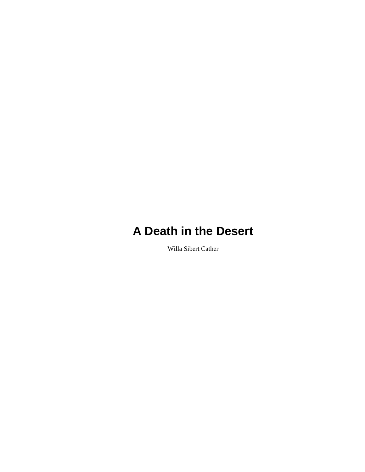Willa Sibert Cather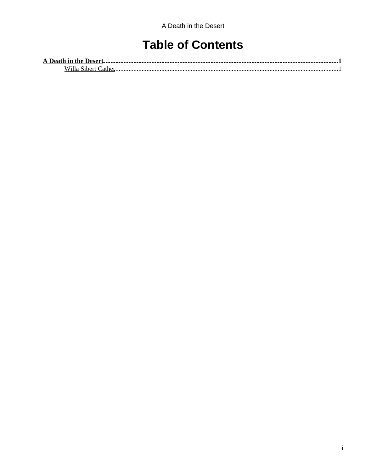### **Table of Contents**

| A Death in the Desert |  |
|-----------------------|--|
| Nihert.<br>w          |  |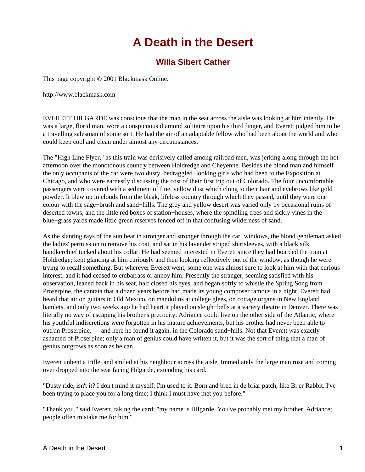### **Willa Sibert Cather**

<span id="page-2-1"></span><span id="page-2-0"></span>This page copyright © 2001 Blackmask Online.

http://www.blackmask.com

EVERETT HILGARDE was conscious that the man in the seat across the aisle was looking at him intently. He was a large, florid man, wore a conspicuous diamond solitaire upon his third finger, and Everett judged him to be a travelling salesman of some sort. He had the air of an adaptable fellow who had been about the world and who could keep cool and clean under almost any circumstances.

The "High Line Flyer," as this train was derisively called among railroad men, was jerking along through the hot afternoon over the monotonous country between Holdredge and Cheyenne. Besides the blond man and himself the only occupants of the car were two dusty, bedraggled−looking girls who had been to the Exposition at Chicago, and who were earnestly discussing the cost of their first trip out of Colorado. The four uncomfortable passengers were covered with a sediment of fine, yellow dust which clung to their hair and eyebrows like gold powder. It blew up in clouds from the bleak, lifeless country through which they passed, until they were one colour with the sage−brush and sand−hills. The grey and yellow desert was varied only by occasional ruins of deserted towns, and the little red boxes of station−houses, where the spindling trees and sickly vines in the blue−grass yards made little green reserves fenced off in that confusing wilderness of sand.

As the slanting rays of the sun beat in stronger and stronger through the car−windows, the blond gentleman asked the ladies' permission to remove his coat, and sat in his lavender striped shirtsleeves, with a black silk handkerchief tucked about his collar. He had seemed interested in Everett since they had boarded the train at Holdredge; kept glancing at him curiously and then looking reflectively out of the window, as though he were trying to recall something. But wherever Everett went, some one was almost sure to look at him with that curious interest, and it had ceased to embarrass or annoy him. Presently the stranger, seeming satisfied with his observation, leaned back in his seat, half closed his eyes, and began softly to whistle the Spring Song from Proserpine, the cantata that a dozen years before had made its young composer famous in a night. Everett had heard that air on guitars in Old Mexico, on mandolins at college glees, on cottage organs in New England hamlets, and only two weeks ago he had heart it played on sleigh−bells at a variety theatre in Denver. There was literally no way of escaping his brother's precocity. Adriance could live on the other side of the Atlantic, where his youthful indiscretions were forgotten in his mature achievements, but his brother had never been able to outrun Proserpine, — and here he found it again, in the Colorado sand−hills. Not that Everett was exactly ashamed of Proserpine; only a man of genius could have written it, but it was the sort of thing that a man of genius outgrows as soon as he can.

Everett unbent a trifle, and smiled at his neighbour across the aisle. Immediately the large man rose and coming over dropped into the seat facing Hilgarde, extending his card.

"Dusty ride, isn't it? I don't mind it myself; I'm used to it. Born and bred in de briar patch, like Br'er Rabbit. I've been trying to place you for a long time; I think I must have met you before."

"Thank you," said Everett, taking the card; "my name is Hilgarde. You've probably met my brother, Adriance; people often mistake me for him."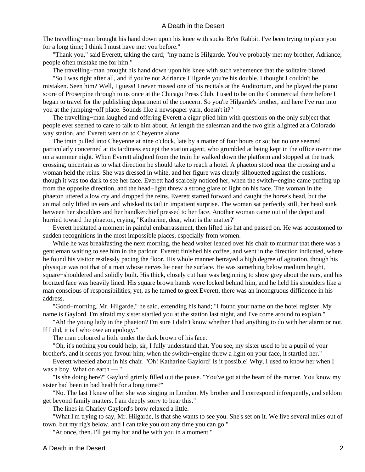The travelling−man brought his hand down upon his knee with sucke Br'er Rabbit. I've been trying to place you for a long time; I think I must have met you before."

 "Thank you," said Everett, taking the card; "my name is Hilgarde. You've probably met my brother, Adriance; people often mistake me for him."

The travelling−man brought his hand down upon his knee with such vehemence that the solitaire blazed.

 "So I was right after all, and if you're not Adriance Hilgarde you're his double. I thought I couldn't be mistaken. Seen him? Well, I guess! I never missed one of his recitals at the Auditorium, and he played the piano score of Proserpine through to us once at the Chicago Press Club. I used to be on the Commercial there before I began to travel for the publishing department of the concern. So you're Hilgarde's brother, and here I've run into you at the jumping−off place. Sounds like a newspaper yarn, doesn't it?"

 The travelling−man laughed and offering Everett a cigar plied him with questions on the only subject that people ever seemed to care to talk to him about. At length the salesman and the two girls alighted at a Colorado way station, and Everett went on to Cheyenne alone.

 The train pulled into Cheyenne at nine o'clock, late by a matter of four hours or so; but no one seemed particularly concerned at its tardiness except the station agent, who grumbled at being kept in the office over time on a summer night. When Everett alighted from the train he walked down the platform and stopped at the track crossing, uncertain as to what direction he should take to reach a hotel. A phaeton stood near the crossing and a woman held the reins. She was dressed in white, and her figure was clearly silhouetted against the cushions, though it was too dark to see her face. Everett had scarcely noticed her, when the switch−engine came puffing up from the opposite direction, and the head−light threw a strong glare of light on his face. The woman in the phaeton uttered a low cry and dropped the reins. Everett started forward and caught the horse's head, but the animal only lifted its ears and whisked its tail in impatient surprise. The woman sat perfectly still, her head sunk between her shoulders and her handkerchief pressed to her face. Another woman came out of the depot and hurried toward the phaeton, crying, "Katharine, dear, what is the matter?"

 Everett hesitated a moment in painful embarrassment, then lifted his hat and passed on. He was accustomed to sudden recognitions in the most impossible places, especially from women.

 While he was breakfasting the next morning, the head waiter leaned over his chair to murmur that there was a gentleman waiting to see him in the parlour. Everett finished his coffee, and went in the direction indicated, where he found his visitor restlessly pacing the floor. His whole manner betrayed a high degree of agitation, though his physique was not that of a man whose nerves lie near the surface. He was something below medium height, square–shouldered and solidly built. His thick, closely cut hair was beginning to show grey about the ears, and his bronzed face was heavily lined. His square brown hands were locked behind him, and he held his shoulders like a man conscious of responsibilities, yet, as he turned to greet Everett, there was an incongruous diffidence in his address.

 "Good−morning, Mr. Hilgarde," he said, extending his hand; "I found your name on the hotel register. My name is Gaylord. I'm afraid my sister startled you at the station last night, and I've come around to explain."

 "Ah! the young lady in the phaeton? I'm sure I didn't know whether I had anything to do with her alarm or not. If I did, it is I who owe an apology."

The man coloured a little under the dark brown of his face.

 "Oh, it's nothing you could help, sir, I fully understand that. You see, my sister used to be a pupil of your brother's, and it seems you favour him; when the switch−engine threw a light on your face, it startled her."

 Everett wheeled about in his chair. "Oh! Katharine Gaylord! Is it possible! Why, I used to know her when I was a boy. What on earth — "

 "Is she doing here?" Gaylord grimly filled out the pause. "You've got at the heart of the matter. You know my sister had been in bad health for a long time?"

 "No. The last I knew of her she was singing in London. My brother and I correspond infrequently, and seldom get beyond family matters. I am deeply sorry to hear this."

The lines in Charley Gaylord's brow relaxed a little.

 "What I'm trying to say, Mr. Hilgarde, is that she wants to see you. She's set on it. We live several miles out of town, but my rig's below, and I can take you out any time you can go."

"At once, then. I'll get my hat and be with you in a moment."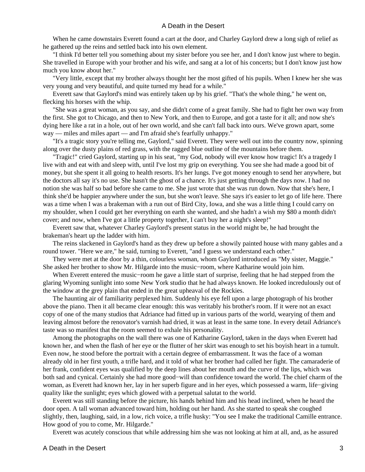When he came downstairs Everett found a cart at the door, and Charley Gaylord drew a long sigh of relief as he gathered up the reins and settled back into his own element.

 "I think I'd better tell you something about my sister before you see her, and I don't know just where to begin. She travelled in Europe with your brother and his wife, and sang at a lot of his concerts; but I don't know just how much you know about her."

 "Very little, except that my brother always thought her the most gifted of his pupils. When I knew her she was very young and very beautiful, and quite turned my head for a while."

 Everett saw that Gaylord's mind was entirely taken up by his grief. "That's the whole thing," he went on, flecking his horses with the whip.

 "She was a great woman, as you say, and she didn't come of a great family. She had to fight her own way from the first. She got to Chicago, and then to New York, and then to Europe, and got a taste for it all; and now she's dying here like a rat in a hole, out of her own world, and she can't fall back into ours. We've grown apart, some way — miles and miles apart — and I'm afraid she's fearfully unhappy."

 "It's a tragic story you're telling me, Gaylord," said Everett. They were well out into the country now, spinning along over the dusty plains of red grass, with the ragged blue outline of the mountains before them.

 "Tragic!" cried Gaylord, starting up in his seat, "my God, nobody will ever know how tragic! It's a tragedy I live with and eat with and sleep with, until I've lost my grip on everything. You see she had made a good bit of money, but she spent it all going to health resorts. It's her lungs. I've got money enough to send her anywhere, but the doctors all say it's no use. She hasn't the ghost of a chance. It's just getting through the days now. I had no notion she was half so bad before she came to me. She just wrote that she was run down. Now that she's here, I think she'd be happier anywhere under the sun, but she won't leave. She says it's easier to let go of life here. There was a time when I was a brakeman with a run out of Bird City, Iowa, and she was a little thing I could carry on my shoulder, when I could get her everything on earth she wanted, and she hadn't a wish my \$80 a month didn't cover; and now, when I've got a little property together, I can't buy her a night's sleep!"

 Everett saw that, whatever Charley Gaylord's present status in the world might be, he had brought the brakeman's heart up the ladder with him.

 The reins slackened in Gaylord's hand as they drew up before a showily painted house with many gables and a round tower. "Here we are," he said, turning to Everett, "and I guess we understand each other."

 They were met at the door by a thin, colourless woman, whom Gaylord introduced as "My sister, Maggie." She asked her brother to show Mr. Hilgarde into the music−room, where Katharine would join him.

 When Everett entered the music−room he gave a little start of surprise, feeling that he had stepped from the glaring Wyoming sunlight into some New York studio that he had always known. He looked incredulously out of the window at the grey plain that ended in the great upheaval of the Rockies.

 The haunting air of familiarity perplexed him. Suddenly his eye fell upon a large photograph of his brother above the piano. Then it all became clear enough: this was veritably his brother's room. If it were not an exact copy of one of the many studios that Adriance had fitted up in various parts of the world, wearying of them and leaving almost before the renovator's varnish had dried, it was at least in the same tone. In every detail Adriance's taste was so manifest that the room seemed to exhale his personality.

 Among the photographs on the wall there was one of Katharine Gaylord, taken in the days when Everett had known her, and when the flash of her eye or the flutter of her skirt was enough to set his boyish heart in a tumult. Even now, he stood before the portrait with a certain degree of embarrassment. It was the face of a woman already old in her first youth, a trifle hard, and it told of what her brother had called her fight. The camaraderie of her frank, confident eyes was qualified by the deep lines about her mouth and the curve of the lips, which was both sad and cynical. Certainly she had more good−will than confidence toward the world. The chief charm of the woman, as Everett had known her, lay in her superb figure and in her eyes, which possessed a warm, life−giving quality like the sunlight; eyes which glowed with a perpetual salutat to the world.

 Everett was still standing before the picture, his hands behind him and his head inclined, when he heard the door open. A tall woman advanced toward him, holding out her hand. As she started to speak she coughed slightly, then, laughing, said, in a low, rich voice, a trifle husky: "You see I make the traditional Camille entrance. How good of you to come, Mr. Hilgarde."

Everett was acutely conscious that while addressing him she was not looking at him at all, and, as he assured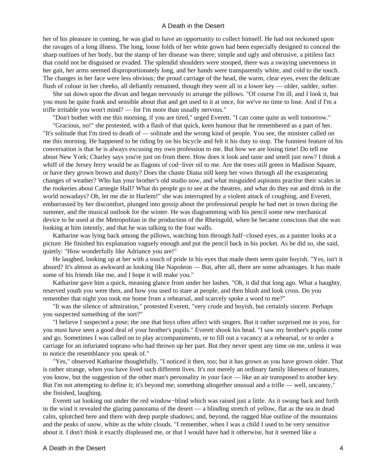her of his pleasure in coming, he was glad to have an opportunity to collect himself. He had not reckoned upon the ravages of a long illness. The long, loose folds of her white gown had been especially designed to conceal the sharp outlines of her body, but the stamp of her disease was there; simple and ugly and obtrusive, a pitiless fact that could not be disguised or evaded. The splendid shoulders were stooped, there was a swaying unevenness in her gait, her arms seemed disproportionately long, and her hands were transparently white, and cold to the touch. The changes in her face were less obvious; the proud carriage of the head, the warm, clear eyes, even the delicate flush of colour in her cheeks, all defiantly remained, though they were all in a lower key — older, sadder, softer.

 She sat down upon the divan and began nervously to arrange the pillows. "Of course I'm ill, and I look it, but you must be quite frank and sensible about that and get used to it at once, for we've no time to lose. And if I'm a trifle irritable you won't mind? — for I'm more than usually nervous."

"Don't bother with me this morning, if you are tired," urged Everett. "I can come quite as well tomorrow."

 "Gracious, no!" she protested, with a flash of that quick, keen humour that he remembered as a part of her. "It's solitude that I'm tired to death of — solitude and the wrong kind of people. You see, the minister called on me this morning. He happened to be riding by on his bicycle and felt it his duty to stop. The funniest feature of his conversation is that he is always excusing my own profession to me. But how we are losing time! Do tell me about New York; Charley says you're just on from there. How does it look and taste and smell just now? I think a whiff of the Jersey ferry would be as flagons of cod−liver oil to me. Are the trees still green in Madison Square, or have they grown brown and dusty? Does the chaste Diana still keep her vows through all the exasperating changes of weather? Who has your brother's old studio now, and what misguided aspirants practise their scales in the rookeries about Carnegie Hall? What do people go to see at the theatres, and what do they eat and drink in the world nowadays? Oh, let me die in Harlem!" she was interrupted by a violent attack of coughing, and Everett, embarrassed by her discomfort, plunged into gossip about the professional people he had met in town during the summer, and the musical outlook for the winter. He was diagramming with his pencil some new mechanical device to be used at the Metropolitan in the production of the Rheingold, when he became conscious that she was looking at him intently, and that he was talking to the four walls.

 Katharine was lying back among the pillows, watching him through half−closed eyes, as a painter looks at a picture. He finished his explanation vaguely enough and put the pencil back in his pocket. As he did so, she said, quietly: "How wonderfully like Adriance you are!"

 He laughed, looking up at her with a touch of pride in his eyes that made them seem quite boyish. "Yes, isn't it absurd? It's almost as awkward as looking like Napoleon — But, after all, there are some advantages. It has made some of his friends like me, and I hope it will make you."

 Katharine gave him a quick, meaning glance from under her lashes. "Oh, it did that long ago. What a haughty, reserved youth you were then, and how you used to stare at people, and then blush and look cross. Do you remember that night you took me home from a rehearsal, and scarcely spoke a word to me?"

 "It was the silence of admiration," protested Everett, "very crude and boyish, but certainly sincere. Perhaps you suspected something of the sort?"

 "I believe I suspected a pose; the one that boys often affect with singers. But it rather surprised me in you, for you must have seen a good deal of your brother's pupils." Everett shook his head. "I saw my brother's pupils come and go. Sometimes I was called on to play accompaniments, or to fill out a vacancy at a rehearsal, or to order a carriage for an infuriated soprano who had thrown up her part. But they never spent any time on me, unless it was to notice the resemblance you speak of."

 "Yes," observed Katharine thoughtfully, "I noticed it then, too; but it has grown as you have grown older. That is rather strange, when you have lived such different lives. It's not merely an ordinary family likeness of features, you know, but the suggestion of the other man's personality in your face — like an air transposed to another key. But I'm not attempting to define it; it's beyond me; something altogether unusual and a trifle — well, uncanny," she finished, laughing.

 Everett sat looking out under the red window−blind which was raised just a little. As it swung back and forth in the wind it revealed the glaring panorama of the desert — a blinding stretch of yellow, flat as the sea in dead calm, splotched here and there with deep purple shadows; and, beyond, the ragged blue outline of the mountains and the peaks of snow, white as the white clouds. "I remember, when I was a child I used to be very sensitive about it. I don't think it exactly displeased me, or that I would have had it otherwise, but it seemed like a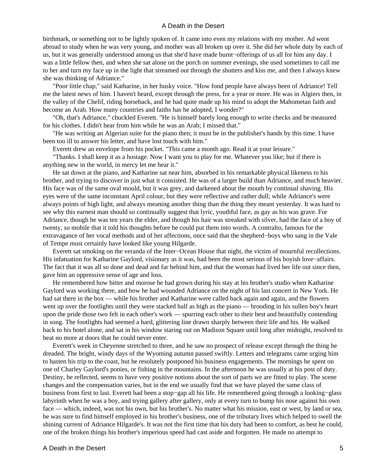birthmark, or something not to be lightly spoken of. It came into even my relations with my mother. Ad went abroad to study when he was very young, and mother was all broken up over it. She did her whole duty by each of us, but it was generally understood among us that she'd have made burnt−offerings of us all for him any day. I was a little fellow then, and when she sat alone on the porch on summer evenings, she used sometimes to call me to her and turn my face up in the light that streamed out through the shutters and kiss me, and then I always knew she was thinking of Adriance."

 "Poor little chap," said Katharine, in her husky voice. "How fond people have always been of Adriance! Tell me the latest news of him. I haven't heard, except through the press, for a year or more. He was in Algiers then, in the valley of the Chelif, riding horseback, and he had quite made up his mind to adopt the Mahometan faith and become an Arab. How many countries and faiths has he adopted, I wonder?"

 "Oh, that's Adriance," chuckled Everett. "He is himself barely long enough to write checks and be measured for his clothes. I didn't hear from him while he was an Arab; I missed that."

 "He was writing an Algerian suite for the piano then; it must be in the publisher's hands by this time. I have been too ill to answer his letter, and have lost touch with him."

Everett drew an envelope from his pocket. "This came a month ago. Read it at your leisure."

 "Thanks. I shall keep it as a hostage. Now I want you to play for me. Whatever you like; but if there is anything new in the world, in mercy let me hear it."

 He sat down at the piano, and Katharine sat near him, absorbed in his remarkable physical likeness to his brother, and trying to discover in just what it consisted. He was of a larger build than Adriance, and much heavier. His face was of the same oval mould, but it was grey, and darkened about the mouth by continual shaving. His eyes were of the same inconstant April colour, but they were reflective and rather dull; while Adriance's were always points of high light, and always meaning another thing than the thing they meant yesterday. It was hard to see why this earnest man should so continually suggest that lyric, youthful face, as gay as his was grave. For Adriance, though he was ten years the elder, and though his hair was streaked with silver, had the face of a boy of twenty, so mobile that it told his thoughts before he could put them into words. A contralto, famous for the extravagance of her vocal methods and of her affections, once said that the shepherd−boys who sang in the Vale of Tempe must certainly have looked like young Hilgarde.

 Everett sat smoking on the veranda of the Inter−Ocean House that night, the victim of mournful recollections. His infatuation for Katharine Gaylord, visionary as it was, had been the most serious of his boyish love−affairs. The fact that it was all so done and dead and far behind him, and that the woman had lived her life out since then, gave him an oppressive sense of age and loss.

 He remembered how bitter and morose he had grown during his stay at his brother's studio when Katharine Gaylord was working there, and how he had wounded Adriance on the night of his last concert in New York. He had sat there in the box — while his brother and Katharine were called back again and again, and the flowers went up over the footlights until they were stacked half as high as the piano — brooding in his sullen boy's heart upon the pride those two felt in each other's work — spurring each other to their best and beautifully contending in song. The footlights had seemed a hard, glittering line drawn sharply between their life and his. He walked back to his hotel alone, and sat in his window staring out on Madison Square until long after midnight, resolved to beat no more at doors that he could never enter.

 Everett's week in Cheyenne stretched to three, and he saw no prospect of release except through the thing he dreaded. The bright, windy days of the Wyoming autumn passed swiftly. Letters and telegrams came urging him to hasten his trip to the coast, but he resolutely postponed his business engagements. The mornings he spent on one of Charley Gaylord's ponies, or fishing in the mountains. In the afternoon he was usually at his post of duty. Destiny, he reflected, seems to have very positive notions about the sort of parts we are fitted to play. The scene changes and the compensation varies, but in the end we usually find that we have played the same class of business from first to last. Everett had been a stop−gap all his life. He remembered going through a looking−glass labyrinth when he was a boy, and trying gallery after gallery, only at every turn to bump his nose against his own face — which, indeed, was not his own, but his brother's. No matter what his mission, east or west, by land or sea, he was sure to find himself employed in his brother's business, one of the tributary lives which helped to swell the shining current of Adriance Hilgarde's. It was not the first time that his duty had been to comfort, as best he could, one of the broken things his brother's imperious speed had cast aside and forgotten. He made no attempt to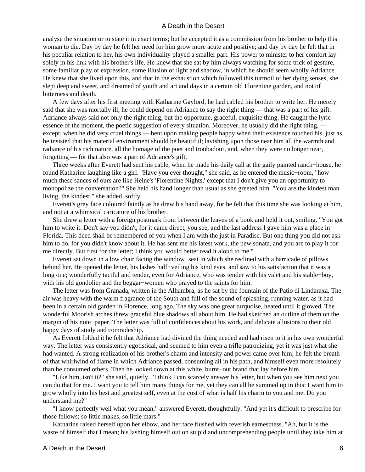analyse the situation or to state it in exact terms; but he accepted it as a commission from his brother to help this woman to die. Day by day he felt her need for him grow more acute and positive; and day by day he felt that in his peculiar relation to her, his own individuality played a smaller part. His power to minister to her comfort lay solely in his link with his brother's life. He knew that she sat by him always watching for some trick of gesture, some familiar play of expression, some illusion of light and shadow, in which he should seem wholly Adriance. He knew that she lived upon this, and that in the exhaustion which followed this turmoil of her dying senses, she slept deep and sweet, and dreamed of youth and art and days in a certain old Florentine garden, and not of bitterness and death.

 A few days after his first meeting with Katharine Gaylord, he had cabled his brother to write her. He merely said that she was mortally ill; he could depend on Adriance to say the right thing — that was a part of his gift. Adriance always said not only the right thing, but the opportune, graceful, exquisite thing. He caught the lyric essence of the moment, the poetic suggestion of every situation. Moreover, he usually did the right thing, except, when he did very cruel things — bent upon making people happy when their existence touched his, just as he insisted that his material environment should be beautiful; lavishing upon those near him all the warmth and radiance of his rich nature, all the homage of the poet and troubadour, and, when they were no longer near, forgetting — for that also was a part of Adriance's gift.

 Three weeks after Everett had sent his cable, when he made his daily call at the gaily painted ranch−house, he found Katharine laughing like a girl. "Have you ever thought," she said, as he entered the music−room, "how much these sances of ours are like Heine's 'Florentine Nights,' except that I don't give you an opportunity to monopolize the conversation?" She held his hand longer than usual as she greeted him. "You are the kindest man living, the kindest," she added, softly.

 Everett's grey face coloured faintly as he drew his hand away, for he felt that this time she was looking at him, and not at a whimsical caricature of his brother.

 She drew a letter with a foreign postmark from between the leaves of a book and held it out, smiling. "You got him to write it. Don't say you didn't, for it came direct, you see, and the last address I gave him was a place in Florida. This deed shall be remembered of you when I am with the just in Paradise. But one thing you did not ask him to do, for you didn't know about it. He has sent me his latest work, the new sonata, and you are to play it for me directly. But first for the letter; I think you would better read it aloud to me."

 Everett sat down in a low chair facing the window−seat in which she reclined with a barricade of pillows behind her. He opened the letter, his lashes half−veiling his kind eyes, and saw to his satisfaction that it was a long one; wonderfully tactful and tender, even for Adriance, who was tender with his valet and his stable−boy, with his old gondolier and the beggar−women who prayed to the saints for him.

 The letter was from Granada, written in the Alhambra, as he sat by the fountain of the Patio di Lindaraxa. The air was heavy with the warm fragrance of the South and full of the sound of splashing, running water, as it had been in a certain old garden in Florence, long ago. The sky was one great turquoise, heated until it glowed. The wonderful Moorish arches threw graceful blue shadows all about him. He had sketched an outline of them on the margin of his note−paper. The letter was full of confidences about his work, and delicate allusions to their old happy days of study and comradeship.

 As Everett folded it he felt that Adriance had divined the thing needed and had risen to it in his own wonderful way. The letter was consistently egotistical, and seemed to him even a trifle patronizing, yet it was just what she had wanted. A strong realization of his brother's charm and intensity and power came over him; he felt the breath of that whirlwind of flame in which Adriance passed, consuming all in his path, and himself even more resolutely than he consumed others. Then he looked down at this white, burnt−out brand that lay before him.

 "Like him, isn't it?" she said, quietly. "I think I can scarcely answer his letter, but when you see him next you can do that for me. I want you to tell him many things for me, yet they can all be summed up in this: I want him to grow wholly into his best and greatest self, even at the cost of what is half his charm to you and me. Do you understand me?"

 "I know perfectly well what you mean," answered Everett, thoughtfully. "And yet it's difficult to prescribe for those fellows; so little makes, so little mars."

 Katharine raised herself upon her elbow, and her face flushed with feverish earnestness. "Ah, but it is the waste of himself that I mean; his lashing himself out on stupid and uncomprehending people until they take him at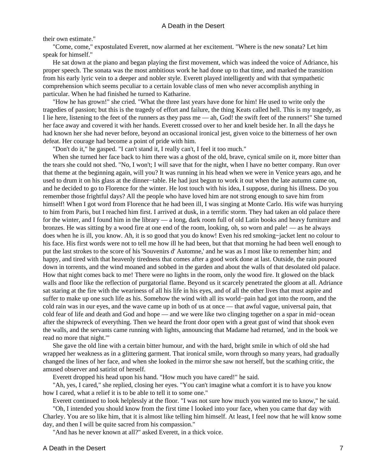#### their own estimate."

 "Come, come," expostulated Everett, now alarmed at her excitement. "Where is the new sonata? Let him speak for himself."

 He sat down at the piano and began playing the first movement, which was indeed the voice of Adriance, his proper speech. The sonata was the most ambitious work he had done up to that time, and marked the transition from his early lyric vein to a deeper and nobler style. Everett played intelligently and with that sympathetic comprehension which seems peculiar to a certain lovable class of men who never accomplish anything in particular. When he had finished he turned to Katharine.

 "How he has grown!" she cried. "What the three last years have done for him! He used to write only the tragedies of passion; but this is the tragedy of effort and failure, the thing Keats called hell. This is my tragedy, as I lie here, listening to the feet of the runners as they pass me — ah, God! the swift feet of the runners!" She turned her face away and covered it with her hands. Everett crossed over to her and knelt beside her. In all the days he had known her she had never before, beyond an occasional ironical jest, given voice to the bitterness of her own defeat. Her courage had become a point of pride with him.

"Don't do it," he gasped. "I can't stand it, I really can't, I feel it too much."

 When she turned her face back to him there was a ghost of the old, brave, cynical smile on it, more bitter than the tears she could not shed. "No, I won't; I will save that for the night, when I have no better company. Run over that theme at the beginning again, will you? It was running in his head when we were in Venice years ago, and he used to drum it on his glass at the dinner−table. He had just begun to work it out when the late autumn came on, and he decided to go to Florence for the winter. He lost touch with his idea, I suppose, during his illness. Do you remember those frightful days? All the people who have loved him are not strong enough to save him from himself! When I got word from Florence that he had been ill, I was singing at Monte Carlo. His wife was hurrying to him from Paris, but I reached him first. I arrived at dusk, in a terrific storm. They had taken an old palace there for the winter, and I found him in the library — a long, dark room full of old Latin books and heavy furniture and bronzes. He was sitting by a wood fire at one end of the room, looking, oh, so worn and pale! — as he always does when he is ill, you know. Ah, it is so good that you do know! Even his red smoking−jacket lent no colour to his face. His first words were not to tell me how ill he had been, but that that morning he had been well enough to put the last strokes to the score of his 'Souvenirs d' Automne,' and he was as I most like to remember him; and happy, and tired with that heavenly tiredness that comes after a good work done at last. Outside, the rain poured down in torrents, and the wind moaned and sobbed in the garden and about the walls of that desolated old palace. How that night comes back to me! There were no lights in the room, only the wood fire. It glowed on the black walls and floor like the reflection of purgatorial flame. Beyond us it scarcely penetrated the gloom at all. Adriance sat staring at the fire with the weariness of all his life in his eyes, and of all the other lives that must aspire and suffer to make up one such life as his. Somehow the wind with all its world−pain had got into the room, and the cold rain was in our eyes, and the wave came up in both of us at once — that awful vague, universal pain, that cold fear of life and death and God and hope — and we were like two clinging together on a spar in mid−ocean after the shipwreck of everything. Then we heard the front door open with a great gust of wind that shook even the walls, and the servants came running with lights, announcing that Madame had returned, 'and in the book we read no more that night.'"

 She gave the old line with a certain bitter humour, and with the hard, bright smile in which of old she had wrapped her weakness as in a glittering garment. That ironical smile, worn through so many years, had gradually changed the lines of her face, and when she looked in the mirror she saw not herself, but the scathing critic, the amused observer and satirist of herself.

Everett dropped his head upon his hand. "How much you have cared!" he said.

 "Ah, yes, I cared," she replied, closing her eyes. "You can't imagine what a comfort it is to have you know how I cared, what a relief it is to be able to tell it to some one."

Everett continued to look helplessly at the floor. "I was not sure how much you wanted me to know," he said.

 "Oh, I intended you should know from the first time I looked into your face, when you came that day with Charley. You are so like him, that it is almost like telling him himself. At least, I feel now that he will know some day, and then I will be quite sacred from his compassion."

"And has he never known at all?" asked Everett, in a thick voice.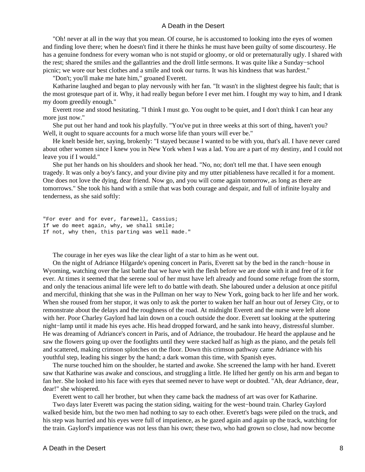"Oh! never at all in the way that you mean. Of course, he is accustomed to looking into the eyes of women and finding love there; when he doesn't find it there he thinks he must have been guilty of some discourtesy. He has a genuine fondness for every woman who is not stupid or gloomy, or old or preternaturally ugly. I shared with the rest; shared the smiles and the gallantries and the droll little sermons. It was quite like a Sunday−school picnic; we wore our best clothes and a smile and took our turns. It was his kindness that was hardest."

"Don't; you'll make me hate him," groaned Everett.

 Katharine laughed and began to play nervously with her fan. "It wasn't in the slightest degree his fault; that is the most grotesque part of it. Why, it had really begun before I ever met him. I fought my way to him, and I drank my doom greedily enough."

 Everett rose and stood hesitating. "I think I must go. You ought to be quiet, and I don't think I can hear any more just now."

 She put out her hand and took his playfully. "You've put in three weeks at this sort of thing, haven't you? Well, it ought to square accounts for a much worse life than yours will ever be."

 He knelt beside her, saying, brokenly: "I stayed because I wanted to be with you, that's all. I have never cared about other women since I knew you in New York when I was a lad. You are a part of my destiny, and I could not leave you if I would."

 She put her hands on his shoulders and shook her head. "No, no; don't tell me that. I have seen enough tragedy. It was only a boy's fancy, and your divine pity and my utter pitiableness have recalled it for a moment. One does not love the dying, dear friend. Now go, and you will come again tomorrow, as long as there are tomorrows." She took his hand with a smile that was both courage and despair, and full of infinite loyalty and tenderness, as she said softly:

"For ever and for ever, farewell, Cassius; If we do meet again, why, we shall smile; If not, why then, this parting was well made."

The courage in her eyes was like the clear light of a star to him as he went out.

 On the night of Adriance Hilgarde's opening concert in Paris, Everett sat by the bed in the ranch−house in Wyoming, watching over the last battle that we have with the flesh before we are done with it and free of it for ever. At times it seemed that the serene soul of her must have left already and found some refuge from the storm, and only the tenacious animal life were left to do battle with death. She laboured under a delusion at once pitiful and merciful, thinking that she was in the Pullman on her way to New York, going back to her life and her work. When she roused from her stupor, it was only to ask the porter to waken her half an hour out of Jersey City, or to remonstrate about the delays and the roughness of the road. At midnight Everett and the nurse were left alone with her. Poor Charley Gaylord had lain down on a couch outside the door. Everett sat looking at the sputtering night−lamp until it made his eyes ache. His head dropped forward, and he sank into heavy, distressful slumber. He was dreaming of Adriance's concert in Paris, and of Adriance, the troubadour. He heard the applause and he saw the flowers going up over the footlights until they were stacked half as high as the piano, and the petals fell and scattered, making crimson splotches on the floor. Down this crimson pathway came Adriance with his youthful step, leading his singer by the hand; a dark woman this time, with Spanish eyes.

 The nurse touched him on the shoulder, he started and awoke. She screened the lamp with her hand. Everett saw that Katharine was awake and conscious, and struggling a little. He lifted her gently on his arm and began to fan her. She looked into his face with eyes that seemed never to have wept or doubted. "Ah, dear Adriance, dear, dear!" she whispered.

Everett went to call her brother, but when they came back the madness of art was over for Katharine.

 Two days later Everett was pacing the station siding, waiting for the west−bound train. Charley Gaylord walked beside him, but the two men had nothing to say to each other. Everett's bags were piled on the truck, and his step was hurried and his eyes were full of impatience, as he gazed again and again up the track, watching for the train. Gaylord's impatience was not less than his own; these two, who had grown so close, had now become